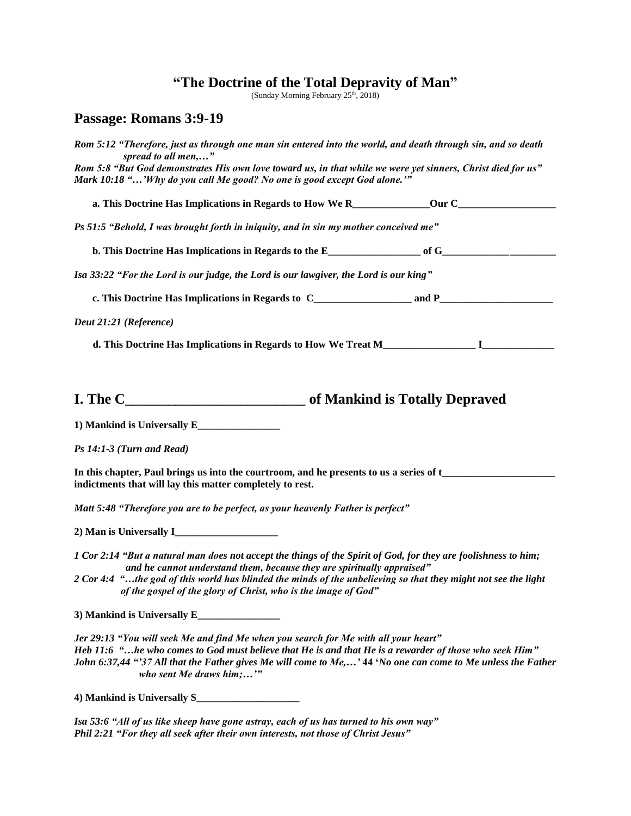## **"The Doctrine of the Total Depravity of Man"**

(Sunday Morning February 25<sup>th</sup>, 2018)

## **Passage: Romans 3:9-19**

| Rom 5:12 "Therefore, just as through one man sin entered into the world, and death through sin, and so death<br>spread to all men,"                                                                                                                                                                                                                |  |  |
|----------------------------------------------------------------------------------------------------------------------------------------------------------------------------------------------------------------------------------------------------------------------------------------------------------------------------------------------------|--|--|
| Rom 5:8 "But God demonstrates His own love toward us, in that while we were yet sinners, Christ died for us"<br>Mark 10:18 "'Why do you call Me good? No one is good except God alone.'"                                                                                                                                                           |  |  |
|                                                                                                                                                                                                                                                                                                                                                    |  |  |
| Ps 51:5 "Behold, I was brought forth in iniquity, and in sin my mother conceived me"                                                                                                                                                                                                                                                               |  |  |
|                                                                                                                                                                                                                                                                                                                                                    |  |  |
| Isa 33:22 "For the Lord is our judge, the Lord is our lawgiver, the Lord is our king"                                                                                                                                                                                                                                                              |  |  |
|                                                                                                                                                                                                                                                                                                                                                    |  |  |
| Deut 21:21 (Reference)                                                                                                                                                                                                                                                                                                                             |  |  |
|                                                                                                                                                                                                                                                                                                                                                    |  |  |
|                                                                                                                                                                                                                                                                                                                                                    |  |  |
|                                                                                                                                                                                                                                                                                                                                                    |  |  |
| Ps 14:1-3 (Turn and Read)                                                                                                                                                                                                                                                                                                                          |  |  |
| In this chapter, Paul brings us into the courtroom, and he presents to us a series of t_______________________<br>indictments that will lay this matter completely to rest.                                                                                                                                                                        |  |  |
| Matt 5:48 "Therefore you are to be perfect, as your heavenly Father is perfect"                                                                                                                                                                                                                                                                    |  |  |
|                                                                                                                                                                                                                                                                                                                                                    |  |  |
| 1 Cor 2:14 "But a natural man does not accept the things of the Spirit of God, for they are foolishness to him;<br>and he cannot understand them, because they are spiritually appraised"                                                                                                                                                          |  |  |
| 2 Cor 4:4 "the god of this world has blinded the minds of the unbelieving so that they might not see the light<br>of the gospel of the glory of Christ, who is the image of God"                                                                                                                                                                   |  |  |
|                                                                                                                                                                                                                                                                                                                                                    |  |  |
| Jer 29:13 "You will seek Me and find Me when you search for Me with all your heart"<br>Heb 11:6 "he who comes to God must believe that He is and that He is a rewarder of those who seek Him"<br>John 6:37,44 "'37 All that the Father gives Me will come to Me,' 44 'No one can come to Me unless the Father<br>who sent Me draws $him; \ldots$ " |  |  |
|                                                                                                                                                                                                                                                                                                                                                    |  |  |

*Isa 53:6 "All of us like sheep have gone astray, each of us has turned to his own way" Phil 2:21 "For they all seek after their own interests, not those of Christ Jesus"*